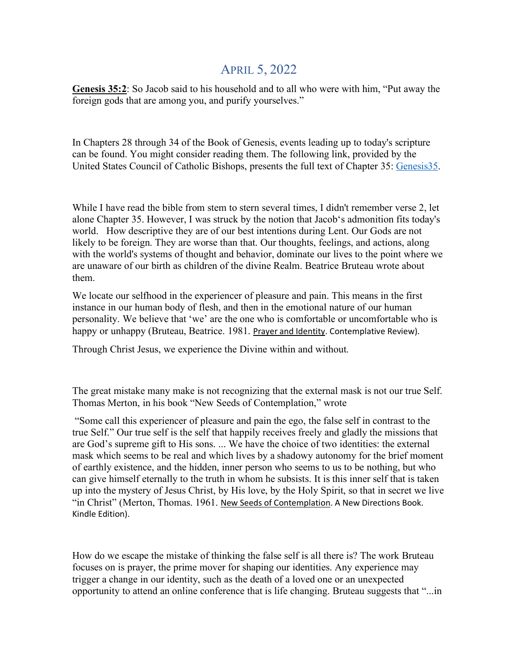## APRIL 5, 2022

**Genesis 35:2**: So Jacob said to his household and to all who were with him, "Put away the foreign gods that are among you, and purify yourselves."

In Chapters 28 through 34 of the Book of Genesis, events leading up to today's scripture can be found. You might consider reading them. The following link, provided by the United States Council of Catholic Bishops, presents the full text of Chapter 35: [Genesis35.](https://holytrinity-nj.us4.list-manage.com/track/click?u=b2bace484a1cfb7dd0ca2ab00&id=8f11abe24e&e=4fcb133b1c)

While I have read the bible from stem to stern several times, I didn't remember verse 2, let alone Chapter 35. However, I was struck by the notion that Jacob's admonition fits today's world. How descriptive they are of our best intentions during Lent. Our Gods are not likely to be foreign. They are worse than that. Our thoughts, feelings, and actions, along with the world's systems of thought and behavior, dominate our lives to the point where we are unaware of our birth as children of the divine Realm. Beatrice Bruteau wrote about them.

We locate our selfhood in the experiencer of pleasure and pain. This means in the first instance in our human body of flesh, and then in the emotional nature of our human personality. We believe that 'we' are the one who is comfortable or uncomfortable who is happy or unhappy (Bruteau, Beatrice. 1981. Prayer and Identity. Contemplative Review).

Through Christ Jesus, we experience the Divine within and without.

The great mistake many make is not recognizing that the external mask is not our true Self. Thomas Merton, in his book "New Seeds of Contemplation," wrote

"Some call this experiencer of pleasure and pain the ego, the false self in contrast to the true Self." Our true self is the self that happily receives freely and gladly the missions that are God's supreme gift to His sons. ... We have the choice of two identities: the external mask which seems to be real and which lives by a shadowy autonomy for the brief moment of earthly existence, and the hidden, inner person who seems to us to be nothing, but who can give himself eternally to the truth in whom he subsists. It is this inner self that is taken up into the mystery of Jesus Christ, by His love, by the Holy Spirit, so that in secret we live "in Christ" (Merton, Thomas. 1961. New Seeds of Contemplation. A New Directions Book. Kindle Edition).

How do we escape the mistake of thinking the false self is all there is? The work Bruteau focuses on is prayer, the prime mover for shaping our identities. Any experience may trigger a change in our identity, such as the death of a loved one or an unexpected opportunity to attend an online conference that is life changing. Bruteau suggests that "...in